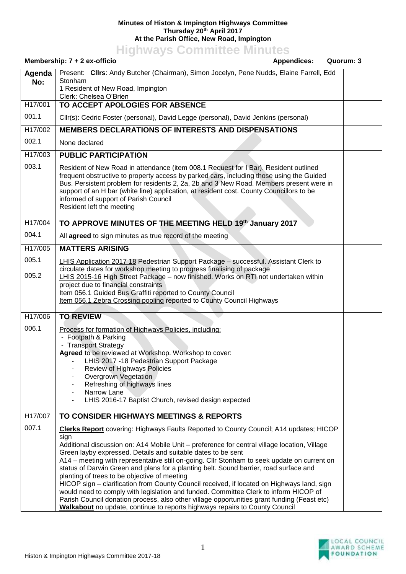## **Minutes of Histon & Impington Highways Committee Thursday 20th April 2017 At the Parish Office, New Road, Impington**

**Highways Committee Minutes**

## **Membership: 7 + 2 ex-officio** and a settential and a settential appendices: Quorum: 3 **Agenda No:** Present: **Cllrs**: Andy Butcher (Chairman), Simon Jocelyn, Pene Nudds, Elaine Farrell, Edd Stonham 1 Resident of New Road, Impington Clerk: Chelsea O'Brien H17/001 001.1 **TO ACCEPT APOLOGIES FOR ABSENCE** Cllr(s): Cedric Foster (personal), David Legge (personal), David Jenkins (personal) H17/002 002.1 **MEMBERS DECLARATIONS OF INTERESTS AND DISPENSATIONS** None declared H17/003 003.1 **PUBLIC PARTICIPATION** Resident of New Road in attendance (item 008.1 Request for I Bar). Resident outlined frequent obstructive to property access by parked cars, including those using the Guided Bus. Persistent problem for residents 2, 2a, 2b and 3 New Road. Members present were in support of an H bar (white line) application, at resident cost. County Councillors to be informed of support of Parish Council Resident left the meeting H17/004 004.1 **TO APPROVE MINUTES OF THE MEETING HELD 19th January 2017** All **agreed** to sign minutes as true record of the meeting H17/005 005.1 005.2 **MATTERS ARISING** LHIS Application 2017 18 Pedestrian Support Package – successful. Assistant Clerk to circulate dates for workshop meeting to progress finalising of package LHIS 2015-16 High Street Package – now finished. Works on RTI not undertaken within project due to financial constraints Item 056.1 Guided Bus Graffiti reported to County Council Item 056.1 Zebra Crossing pooling reported to County Council Highways H17/006 006.1 **TO REVIEW** Process for formation of Highways Policies, including: - Footpath & Parking - Transport Strategy **Agreed** to be reviewed at Workshop. Workshop to cover: LHIS 2017 -18 Pedestrian Support Package - Review of Highways Policies - Overgrown Vegetation Refreshing of highways lines Narrow Lane LHIS 2016-17 Baptist Church, revised design expected H17/007 007.1 **TO CONSIDER HIGHWAYS MEETINGS & REPORTS Clerks Report** covering: Highways Faults Reported to County Council; A14 updates; HICOP sign Additional discussion on: A14 Mobile Unit – preference for central village location, Village Green layby expressed. Details and suitable dates to be sent A14 – meeting with representative still on-going. Cllr Stonham to seek update on current on status of Darwin Green and plans for a planting belt. Sound barrier, road surface and planting of trees to be objective of meeting HICOP sign – clarification from County Council received, if located on Highways land, sign would need to comply with legislation and funded. Committee Clerk to inform HICOP of Parish Council donation process, also other village opportunities grant funding (Feast etc) **Walkabout** no update, continue to reports highways repairs to County Council

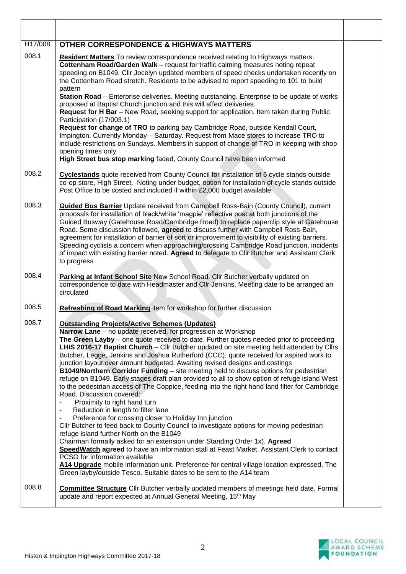| H17/008 | <b>OTHER CORRESPONDENCE &amp; HIGHWAYS MATTERS</b>                                                                                                                                                                                                                                                                                                                                                                                                                                                                                                                                                                                                                                                                                                                                                                                                                                                                                                                                                                                                                                                                                                                                                                                                                                                                                                                                                                                                                                                                              |  |
|---------|---------------------------------------------------------------------------------------------------------------------------------------------------------------------------------------------------------------------------------------------------------------------------------------------------------------------------------------------------------------------------------------------------------------------------------------------------------------------------------------------------------------------------------------------------------------------------------------------------------------------------------------------------------------------------------------------------------------------------------------------------------------------------------------------------------------------------------------------------------------------------------------------------------------------------------------------------------------------------------------------------------------------------------------------------------------------------------------------------------------------------------------------------------------------------------------------------------------------------------------------------------------------------------------------------------------------------------------------------------------------------------------------------------------------------------------------------------------------------------------------------------------------------------|--|
| 008.1   | Resident Matters To review correspondence received relating to Highways matters:<br>Cottenham Road/Garden Walk - request for traffic calming measures noting repeat<br>speeding on B1049. Cllr Jocelyn updated members of speed checks undertaken recently on<br>the Cottenham Road stretch. Residents to be advised to report speeding to 101 to build<br>pattern<br>Station Road - Enterprise deliveries. Meeting outstanding. Enterprise to be update of works<br>proposed at Baptist Church junction and this will affect deliveries.<br>Request for H Bar - New Road, seeking support for application. Item taken during Public<br>Participation (17/003.1)<br>Request for change of TRO to parking bay Cambridge Road, outside Kendall Court,<br>Impington. Currently Monday - Saturday. Request from Mace stores to increase TRO to<br>include restrictions on Sundays. Members in support of change of TRO in keeping with shop<br>opening times only<br>High Street bus stop marking faded, County Council have been informed                                                                                                                                                                                                                                                                                                                                                                                                                                                                                          |  |
| 008.2   | Cyclestands quote received from County Council for installation of 6 cycle stands outside<br>co-op store, High Street. Noting under budget, option for installation of cycle stands outside<br>Post Office to be costed and included if within £2,000 budget available                                                                                                                                                                                                                                                                                                                                                                                                                                                                                                                                                                                                                                                                                                                                                                                                                                                                                                                                                                                                                                                                                                                                                                                                                                                          |  |
| 008.3   | <b>Guided Bus Barrier</b> Update received from Campbell Ross-Bain (County Council), current<br>proposals for installation of black/white 'magpie' reflective post at both junctions of the<br>Guided Busway (Gatehouse Road/Cambridge Road) to replace paperclip style at Gatehouse<br>Road. Some discussion followed, agreed to discuss further with Campbell Ross-Bain,<br>agreement for installation of barrier of sort or improvement to visibility of existing barriers.<br>Speeding cyclists a concern when approaching/crossing Cambridge Road junction, incidents<br>of impact with existing barrier noted. Agreed to delegate to Cllr Butcher and Assistant Clerk<br>to progress                                                                                                                                                                                                                                                                                                                                                                                                                                                                                                                                                                                                                                                                                                                                                                                                                                       |  |
| 008.4   | Parking at Infant School Site New School Road. Cllr Butcher verbally updated on<br>correspondence to date with Headmaster and Cllr Jenkins. Meeting date to be arranged an<br>circulated                                                                                                                                                                                                                                                                                                                                                                                                                                                                                                                                                                                                                                                                                                                                                                                                                                                                                                                                                                                                                                                                                                                                                                                                                                                                                                                                        |  |
| 008.5   | Refreshing of Road Marking item for workshop for further discussion                                                                                                                                                                                                                                                                                                                                                                                                                                                                                                                                                                                                                                                                                                                                                                                                                                                                                                                                                                                                                                                                                                                                                                                                                                                                                                                                                                                                                                                             |  |
| 008.7   | <b>Outstanding Projects/Active Schemes (Updates)</b><br>Narrow Lane - no update received, for progression at Workshop<br>The Green Layby - one quote received to date. Further quotes needed prior to proceeding<br>LHIS 2016-17 Baptist Church - Cllr Butcher updated on site meeting held attended by Cllrs<br>Butcher, Legge, Jenkins and Joshua Rutherford (CCC), quote received for aspired work to<br>junction layout over amount budgeted. Awaiting revised designs and costings<br>B1049/Northern Corridor Funding - site meeting held to discuss options for pedestrian<br>refuge on B1049. Early stages draft plan provided to all to show option of refuge island West<br>to the pedestrian access of The Coppice, feeding into the right hand land filter for Cambridge<br>Road. Discussion covered:<br>Proximity to right hand turn<br>$\overline{\phantom{a}}$<br>Reduction in length to filter lane<br>$\blacksquare$<br>Preference for crossing closer to Holiday Inn junction<br>٠<br>CIIr Butcher to feed back to County Council to investigate options for moving pedestrian<br>refuge island further North on the B1049<br>Chairman formally asked for an extension under Standing Order 1x). Agreed<br>SpeedWatch agreed to have an information stall at Feast Market, Assistant Clerk to contact<br>PCSO for information available<br>A14 Upgrade mobile information unit. Preference for central village location expressed, The<br>Green layby/outside Tesco. Suitable dates to be sent to the A14 team |  |
| 008.8   | <b>Committee Structure</b> Cllr Butcher verbally updated members of meetings held date. Formal<br>update and report expected at Annual General Meeting, 15th May                                                                                                                                                                                                                                                                                                                                                                                                                                                                                                                                                                                                                                                                                                                                                                                                                                                                                                                                                                                                                                                                                                                                                                                                                                                                                                                                                                |  |